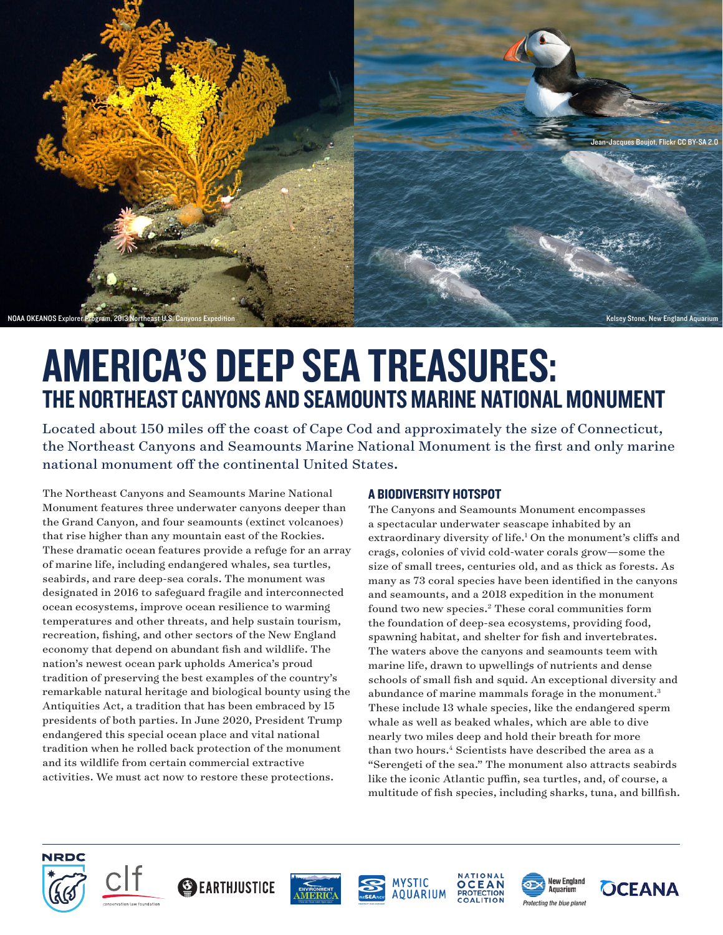<span id="page-0-0"></span>

# AMERICA'S DEEP SEA TREASURES: THE NORTHEAST CANYONS AND SEAMOUNTS MARINE NATIONAL MONUMENT

Located about 150 miles off the coast of Cape Cod and approximately the size of Connecticut, the Northeast Canyons and Seamounts Marine National Monument is the first and only marine national monument off the continental United States.

The Northeast Canyons and Seamounts Marine National Monument features three underwater canyons deeper than the Grand Canyon, and four seamounts (extinct volcanoes) that rise higher than any mountain east of the Rockies. These dramatic ocean features provide a refuge for an array of marine life, including endangered whales, sea turtles, seabirds, and rare deep-sea corals. The monument was designated in 2016 to safeguard fragile and interconnected ocean ecosystems, improve ocean resilience to warming temperatures and other threats, and help sustain tourism, recreation, fishing, and other sectors of the New England economy that depend on abundant fish and wildlife. The nation's newest ocean park upholds America's proud tradition of preserving the best examples of the country's remarkable natural heritage and biological bounty using the Antiquities Act, a tradition that has been embraced by 15 presidents of both parties. In June 2020, President Trump endangered this special ocean place and vital national tradition when he rolled back protection of the monument and its wildlife from certain commercial extractive activities. We must act now to restore these protections.

## A BIODIVERSITY HOTSPOT

The Canyons and Seamounts Monument encompasses a spectacular underwater seascape inhabited by an extraordinary diversity of life.<sup>1</sup> On the monument's cliffs and crags, colonies of vivid cold-water corals grow—some the size of small trees, centuries old, and as thick as forests. As many as 73 coral species have been identified in the canyons and seamounts, and a 2018 expedition in the monument found two new species[.2](#page-1-0) These coral communities form the foundation of deep-sea ecosystems, providing food, spawning habitat, and shelter for fish and invertebrates. The waters above the canyons and seamounts teem with marine life, drawn to upwellings of nutrients and dense schools of small fish and squid. An exceptional diversity and abundance of marine mammals forage in the monument.<sup>[3](#page-1-0)</sup> These include 13 whale species, like the endangered sperm whale as well as beaked whales, which are able to dive nearly two miles deep and hold their breath for more than two hours[.4](#page-1-0) Scientists have described the area as a "Serengeti of the sea." The monument also attracts seabirds like the iconic Atlantic puffin, sea turtles, and, of course, a multitude of fish species, including sharks, tuna, and billfish.